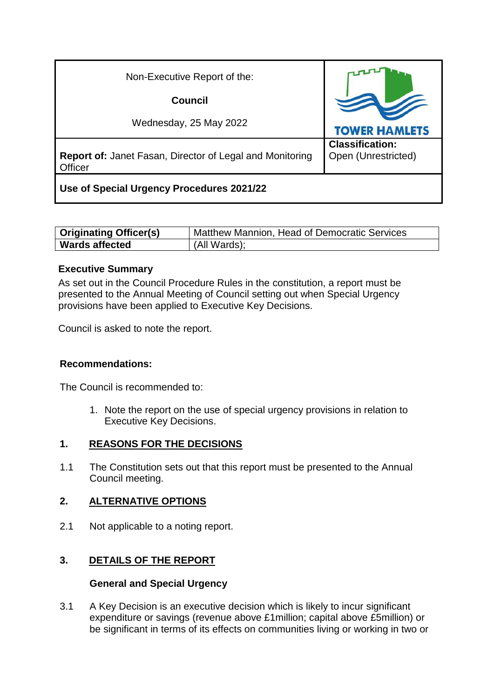| Non-Executive Report of the:                                        |                                               |  |
|---------------------------------------------------------------------|-----------------------------------------------|--|
| Council                                                             |                                               |  |
| Wednesday, 25 May 2022                                              | <b>TOWER HAMLETS</b>                          |  |
| Report of: Janet Fasan, Director of Legal and Monitoring<br>Officer | <b>Classification:</b><br>Open (Unrestricted) |  |
| Use of Special Urgency Procedures 2021/22                           |                                               |  |

| <b>Originating Officer(s)</b> | Matthew Mannion, Head of Democratic Services |
|-------------------------------|----------------------------------------------|
| <b>Wards affected</b>         | (All Wards);                                 |

#### **Executive Summary**

As set out in the Council Procedure Rules in the constitution, a report must be presented to the Annual Meeting of Council setting out when Special Urgency provisions have been applied to Executive Key Decisions.

Council is asked to note the report.

#### **Recommendations:**

The Council is recommended to:

1. Note the report on the use of special urgency provisions in relation to Executive Key Decisions.

#### **1. REASONS FOR THE DECISIONS**

1.1 The Constitution sets out that this report must be presented to the Annual Council meeting.

#### **2. ALTERNATIVE OPTIONS**

2.1 Not applicable to a noting report.

### **3. DETAILS OF THE REPORT**

#### **General and Special Urgency**

3.1 A Key Decision is an executive decision which is likely to incur significant expenditure or savings (revenue above £1million; capital above £5million) or be significant in terms of its effects on communities living or working in two or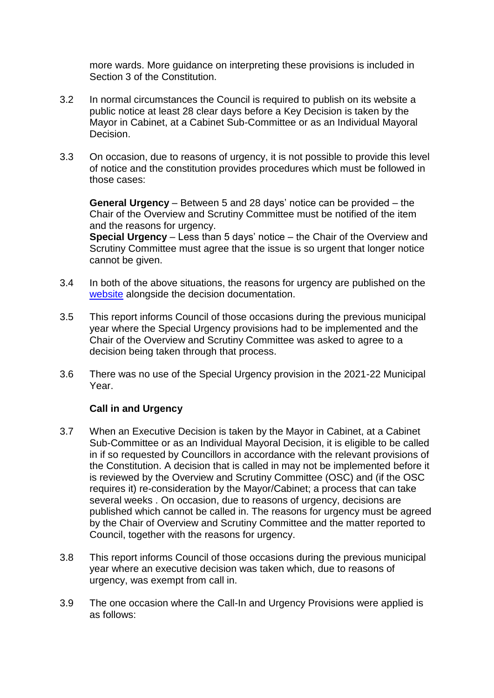more wards. More guidance on interpreting these provisions is included in Section 3 of the Constitution.

- 3.2 In normal circumstances the Council is required to publish on its website a public notice at least 28 clear days before a Key Decision is taken by the Mayor in Cabinet, at a Cabinet Sub-Committee or as an Individual Mayoral Decision.
- 3.3 On occasion, due to reasons of urgency, it is not possible to provide this level of notice and the constitution provides procedures which must be followed in those cases:

**General Urgency** – Between 5 and 28 days' notice can be provided – the Chair of the Overview and Scrutiny Committee must be notified of the item and the reasons for urgency.

**Special Urgency** – Less than 5 days' notice – the Chair of the Overview and Scrutiny Committee must agree that the issue is so urgent that longer notice cannot be given.

- 3.4 In both of the above situations, the reasons for urgency are published on the [website](http://democracy.towerhamlets.gov.uk/mgDelegatedDecisions.aspx?bcr=1&DS=1&H=1&META=mgforthcomingdecisions&V=1) alongside the decision documentation.
- 3.5 This report informs Council of those occasions during the previous municipal year where the Special Urgency provisions had to be implemented and the Chair of the Overview and Scrutiny Committee was asked to agree to a decision being taken through that process.
- 3.6 There was no use of the Special Urgency provision in the 2021-22 Municipal Year.

### **Call in and Urgency**

- 3.7 When an Executive Decision is taken by the Mayor in Cabinet, at a Cabinet Sub-Committee or as an Individual Mayoral Decision, it is eligible to be called in if so requested by Councillors in accordance with the relevant provisions of the Constitution. A decision that is called in may not be implemented before it is reviewed by the Overview and Scrutiny Committee (OSC) and (if the OSC requires it) re-consideration by the Mayor/Cabinet; a process that can take several weeks . On occasion, due to reasons of urgency, decisions are published which cannot be called in. The reasons for urgency must be agreed by the Chair of Overview and Scrutiny Committee and the matter reported to Council, together with the reasons for urgency.
- 3.8 This report informs Council of those occasions during the previous municipal year where an executive decision was taken which, due to reasons of urgency, was exempt from call in.
- 3.9 The one occasion where the Call-In and Urgency Provisions were applied is as follows: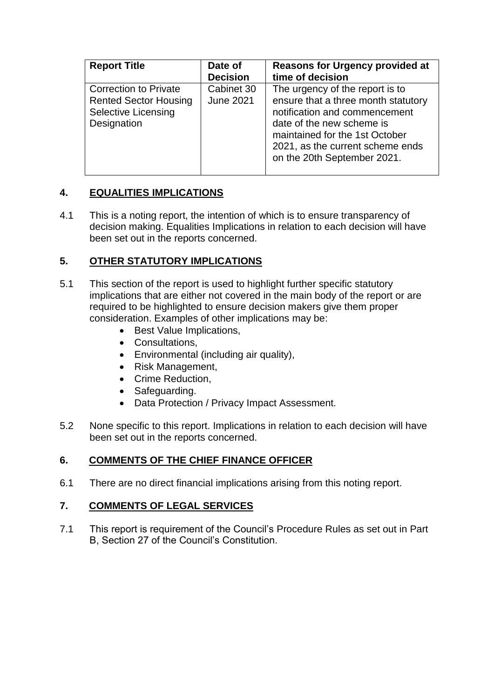| <b>Report Title</b>                                                                                       | Date of<br><b>Decision</b>     | <b>Reasons for Urgency provided at</b><br>time of decision                                                                                                                                                                                |
|-----------------------------------------------------------------------------------------------------------|--------------------------------|-------------------------------------------------------------------------------------------------------------------------------------------------------------------------------------------------------------------------------------------|
| <b>Correction to Private</b><br><b>Rented Sector Housing</b><br><b>Selective Licensing</b><br>Designation | Cabinet 30<br><b>June 2021</b> | The urgency of the report is to<br>ensure that a three month statutory<br>notification and commencement<br>date of the new scheme is<br>maintained for the 1st October<br>2021, as the current scheme ends<br>on the 20th September 2021. |

## **4. EQUALITIES IMPLICATIONS**

4.1 This is a noting report, the intention of which is to ensure transparency of decision making. Equalities Implications in relation to each decision will have been set out in the reports concerned.

## **5. OTHER STATUTORY IMPLICATIONS**

- 5.1 This section of the report is used to highlight further specific statutory implications that are either not covered in the main body of the report or are required to be highlighted to ensure decision makers give them proper consideration. Examples of other implications may be:
	- Best Value Implications,
	- Consultations,
	- Environmental (including air quality),
	- Risk Management,
	- Crime Reduction.
	- Safeguarding.
	- Data Protection / Privacy Impact Assessment.
- 5.2 None specific to this report. Implications in relation to each decision will have been set out in the reports concerned.

### **6. COMMENTS OF THE CHIEF FINANCE OFFICER**

6.1 There are no direct financial implications arising from this noting report.

### **7. COMMENTS OF LEGAL SERVICES**

7.1 This report is requirement of the Council's Procedure Rules as set out in Part B, Section 27 of the Council's Constitution.